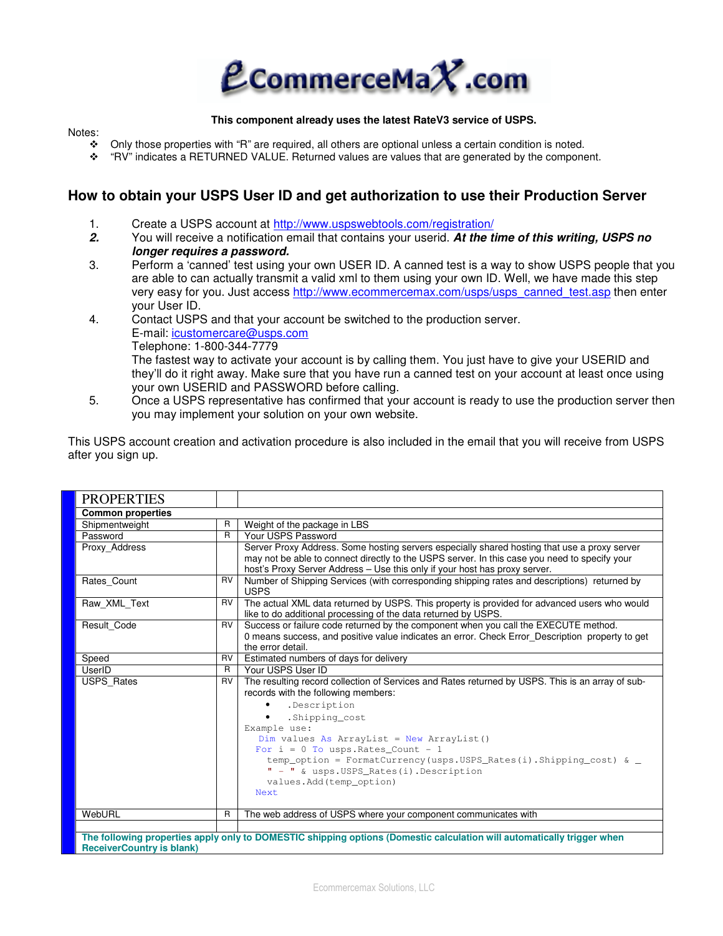

### **This component already uses the latest RateV3 service of USPS.**

## Notes:

- Only those properties with "R" are required, all others are optional unless a certain condition is noted.<br>
Surface in the component of the component of the Component of the component of the component of the component
- "RV" indicates a RETURNED VALUE. Returned values are values that are generated by the component.

# **How to obtain your USPS User ID and get authorization to use their Production Server**

- 1. Create a USPS account at http://www.uspswebtools.com/registration/
- **2.** You will receive a notification email that contains your userid. **At the time of this writing, USPS no longer requires a password.**
- 3. Perform a 'canned' test using your own USER ID. A canned test is a way to show USPS people that you are able to can actually transmit a valid xml to them using your own ID. Well, we have made this step very easy for you. Just access http://www.ecommercemax.com/usps/usps\_canned\_test.asp then enter your User ID.
- 4. Contact USPS and that your account be switched to the production server. E-mail: icustomercare@usps.com Telephone: 1-800-344-7779 The fastest way to activate your account is by calling them. You just have to give your USERID and they'll do it right away. Make sure that you have run a canned test on your account at least once using your own USERID and PASSWORD before calling.
- 5. Once a USPS representative has confirmed that your account is ready to use the production server then you may implement your solution on your own website.

This USPS account creation and activation procedure is also included in the email that you will receive from USPS after you sign up.

| <b>PROPERTIES</b>                                                                                                      |           |                                                                                                                                                                |  |  |
|------------------------------------------------------------------------------------------------------------------------|-----------|----------------------------------------------------------------------------------------------------------------------------------------------------------------|--|--|
| <b>Common properties</b>                                                                                               |           |                                                                                                                                                                |  |  |
| Shipmentweight                                                                                                         | R         | Weight of the package in LBS                                                                                                                                   |  |  |
| Password                                                                                                               | R.        | Your USPS Password                                                                                                                                             |  |  |
| Proxy Address                                                                                                          |           | Server Proxy Address. Some hosting servers especially shared hosting that use a proxy server                                                                   |  |  |
|                                                                                                                        |           | may not be able to connect directly to the USPS server. In this case you need to specify your                                                                  |  |  |
|                                                                                                                        |           | host's Proxy Server Address - Use this only if your host has proxy server.                                                                                     |  |  |
| Rates_Count                                                                                                            | <b>RV</b> | Number of Shipping Services (with corresponding shipping rates and descriptions) returned by<br><b>USPS</b>                                                    |  |  |
| Raw XML Text                                                                                                           | RV        | The actual XML data returned by USPS. This property is provided for advanced users who would<br>like to do additional processing of the data returned by USPS. |  |  |
| Result Code                                                                                                            | <b>RV</b> | Success or failure code returned by the component when you call the EXECUTE method.                                                                            |  |  |
|                                                                                                                        |           | 0 means success, and positive value indicates an error. Check Error_Description property to get                                                                |  |  |
|                                                                                                                        |           | the error detail.                                                                                                                                              |  |  |
| Speed                                                                                                                  | <b>RV</b> | Estimated numbers of days for delivery                                                                                                                         |  |  |
| UserID                                                                                                                 | R         | Your USPS User ID                                                                                                                                              |  |  |
| <b>USPS Rates</b>                                                                                                      | <b>RV</b> | The resulting record collection of Services and Rates returned by USPS. This is an array of sub-                                                               |  |  |
|                                                                                                                        |           | records with the following members:                                                                                                                            |  |  |
|                                                                                                                        |           | .Description                                                                                                                                                   |  |  |
|                                                                                                                        |           | .Shipping_cost                                                                                                                                                 |  |  |
|                                                                                                                        |           | Example use:                                                                                                                                                   |  |  |
|                                                                                                                        |           | Dim values As ArrayList = New ArrayList()                                                                                                                      |  |  |
|                                                                                                                        |           | For $i = 0$ To usps. Rates_Count - 1                                                                                                                           |  |  |
|                                                                                                                        |           | temp_option = FormatCurrency(usps.USPS_Rates(i).Shipping_cost) & _<br>" - " & usps. USPS Rates(i). Description                                                 |  |  |
|                                                                                                                        |           | values.Add(temp_option)                                                                                                                                        |  |  |
|                                                                                                                        |           | Next.                                                                                                                                                          |  |  |
|                                                                                                                        |           |                                                                                                                                                                |  |  |
| WebURL                                                                                                                 | R         | The web address of USPS where your component communicates with                                                                                                 |  |  |
|                                                                                                                        |           |                                                                                                                                                                |  |  |
| The following properties apply only to DOMESTIC shipping options (Domestic calculation will automatically trigger when |           |                                                                                                                                                                |  |  |
| <b>ReceiverCountry is blank)</b>                                                                                       |           |                                                                                                                                                                |  |  |

Ecommercemax Solutions, LLC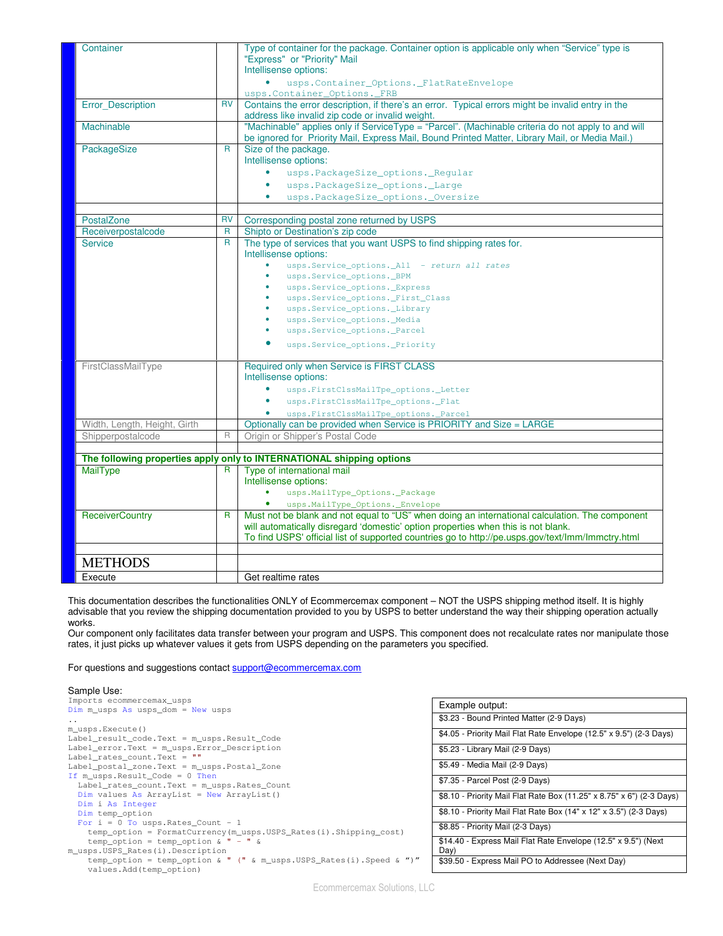| Container                    |              | Type of container for the package. Container option is applicable only when "Service" type is<br>"Express" or "Priority" Mail<br>Intellisense options:                                                |
|------------------------------|--------------|-------------------------------------------------------------------------------------------------------------------------------------------------------------------------------------------------------|
|                              |              | $\bullet$<br>usps.Container_Options._FlatRateEnvelope                                                                                                                                                 |
|                              |              | usps.Container_Options._FRB                                                                                                                                                                           |
| <b>Error Description</b>     | <b>RV</b>    | Contains the error description, if there's an error. Typical errors might be invalid entry in the                                                                                                     |
|                              |              | address like invalid zip code or invalid weight.                                                                                                                                                      |
| <b>Machinable</b>            |              | "Machinable" applies only if ServiceType = "Parcel". (Machinable criteria do not apply to and will<br>be ignored for Priority Mail, Express Mail, Bound Printed Matter, Library Mail, or Media Mail.) |
| PackageSize                  | $\mathsf{R}$ | Size of the package.<br>Intellisense options:                                                                                                                                                         |
|                              |              | usps.PackageSize_options._Regular                                                                                                                                                                     |
|                              |              | usps.PackageSize_options._Large                                                                                                                                                                       |
|                              |              | usps.PackageSize_options._Oversize<br>$\bullet$                                                                                                                                                       |
|                              |              |                                                                                                                                                                                                       |
| PostalZone                   | RV           | Corresponding postal zone returned by USPS                                                                                                                                                            |
| Receiverpostalcode           | $\mathsf{R}$ | Shipto or Destination's zip code                                                                                                                                                                      |
| <b>Service</b>               | $\mathsf{R}$ | The type of services that you want USPS to find shipping rates for.                                                                                                                                   |
|                              |              | Intellisense options:                                                                                                                                                                                 |
|                              |              | usps.Service_options._All - return all rates                                                                                                                                                          |
|                              |              | usps.Service_options._BPM                                                                                                                                                                             |
|                              |              | usps.Service_options._Express                                                                                                                                                                         |
|                              |              | usps.Service_options._First_Class                                                                                                                                                                     |
|                              |              | usps.Service_options._Library                                                                                                                                                                         |
|                              |              | usps.Service_options._Media                                                                                                                                                                           |
|                              |              | usps.Service_options._Parcel                                                                                                                                                                          |
|                              |              | usps.Service_options._Priority                                                                                                                                                                        |
| FirstClassMailType           |              | Required only when Service is FIRST CLASS                                                                                                                                                             |
|                              |              | Intellisense options:                                                                                                                                                                                 |
|                              |              | usps.FirstClssMailTpe_options._Letter                                                                                                                                                                 |
|                              |              | usps.FirstClssMailTpe_options._Flat                                                                                                                                                                   |
|                              |              | usps.FirstClssMailTpe_options._Parcel                                                                                                                                                                 |
| Width, Length, Height, Girth |              | Optionally can be provided when Service is PRIORITY and Size = LARGE                                                                                                                                  |
| Shipperpostalcode            | R            | Origin or Shipper's Postal Code                                                                                                                                                                       |
|                              |              |                                                                                                                                                                                                       |
|                              |              | The following properties apply only to INTERNATIONAL shipping options                                                                                                                                 |
| <b>MailType</b>              | R            | Type of international mail<br>Intellisense options:                                                                                                                                                   |
|                              |              | usps.MailType_Options._Package                                                                                                                                                                        |
|                              |              | usps.MailType_Options._Envelope                                                                                                                                                                       |
| <b>ReceiverCountry</b>       | $\mathsf{R}$ | Must not be blank and not equal to "US" when doing an international calculation. The component                                                                                                        |
|                              |              | will automatically disregard 'domestic' option properties when this is not blank.                                                                                                                     |
|                              |              | To find USPS' official list of supported countries go to http://pe.usps.gov/text/lmm/lmmctry.html                                                                                                     |
|                              |              |                                                                                                                                                                                                       |
| <b>METHODS</b>               |              |                                                                                                                                                                                                       |
|                              |              |                                                                                                                                                                                                       |
| Execute                      |              | Get realtime rates                                                                                                                                                                                    |

This documentation describes the functionalities ONLY of Ecommercemax component – NOT the USPS shipping method itself. It is highly advisable that you review the shipping documentation provided to you by USPS to better understand the way their shipping operation actually works.

Our component only facilitates data transfer between your program and USPS. This component does not recalculate rates nor manipulate those rates, it just picks up whatever values it gets from USPS depending on the parameters you specified.

For questions and suggestions contact support@ecommercemax.com

#### Sample Use:

| Example output:                                                       |
|-----------------------------------------------------------------------|
|                                                                       |
| \$3.23 - Bound Printed Matter (2-9 Days)                              |
| \$4.05 - Priority Mail Flat Rate Envelope (12.5" x 9.5") (2-3 Days)   |
|                                                                       |
| \$5.23 - Library Mail (2-9 Days)                                      |
|                                                                       |
| \$5.49 - Media Mail (2-9 Days)                                        |
| \$7.35 - Parcel Post (2-9 Days)                                       |
|                                                                       |
| \$8.10 - Priority Mail Flat Rate Box (11.25" x 8.75" x 6") (2-3 Days) |
|                                                                       |
| \$8.10 - Priority Mail Flat Rate Box (14" x 12" x 3.5") (2-3 Days)    |
| \$8.85 - Priority Mail (2-3 Days)                                     |
|                                                                       |
| \$14.40 - Express Mail Flat Rate Envelope (12.5" x 9.5") (Next        |
| Day)                                                                  |
| \$39.50 - Express Mail PO to Addressee (Next Day)                     |
|                                                                       |
|                                                                       |
|                                                                       |